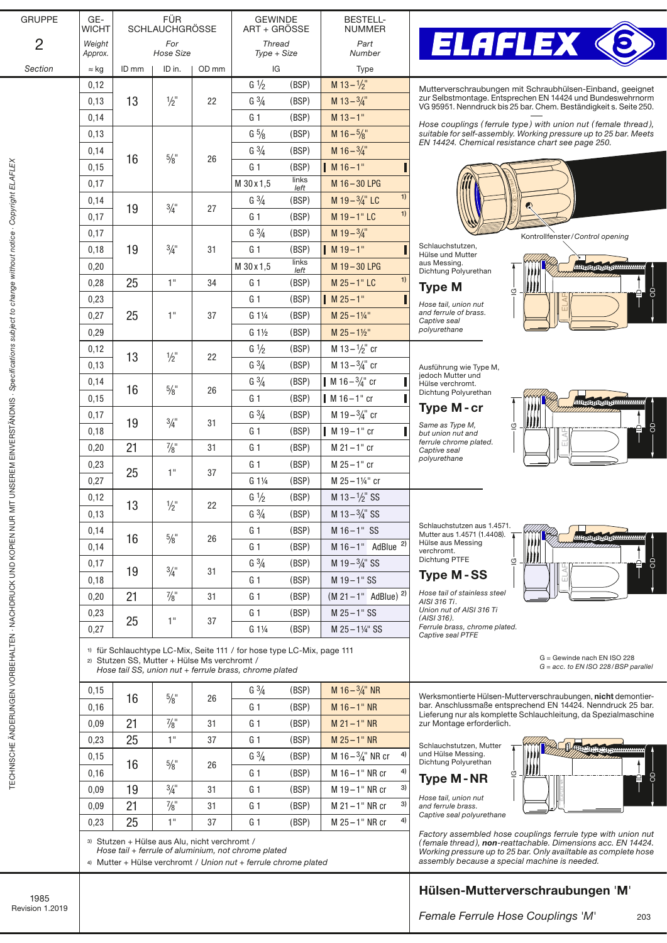| <b>GRUPPE</b>  | GE-<br><b>WICHT</b> | <b>FÜR</b><br><b>SCHLAUCHGRÖSSE</b> |                       |                              | <b>GEWINDE</b><br>ART + GRÖSSE |                | <b>BESTELL-</b><br><b>NUMMER</b>   |                          |
|----------------|---------------------|-------------------------------------|-----------------------|------------------------------|--------------------------------|----------------|------------------------------------|--------------------------|
| $\overline{2}$ | Weight<br>Approx.   | For<br>Hose Size                    |                       | <b>Thread</b><br>Type + Size |                                | Part<br>Number |                                    |                          |
| Section        | $\approx$ kg        | ID mm                               | ID in.                | OD mm                        | IG                             |                | Type                               |                          |
|                | 0,12                |                                     |                       |                              | $G\frac{1}{2}$                 | (BSP)          | $M$ 13 - $\frac{1}{2}$ "           | Mut                      |
|                | 0,13                | 13                                  | $\frac{1}{2}$ "       | 22                           | $G\frac{3}{4}$                 | (BSP)          | M $13-3/4$ "                       | zur S<br>VG <sub>S</sub> |
|                | 0,14                |                                     |                       |                              | G <sub>1</sub>                 | (BSP)          | $M$ 13 – 1"                        |                          |
|                | 0.13                |                                     |                       |                              | $G\frac{5}{8}$                 | (BSP)          | M $16 - \frac{5}{8}$ "             | Hos<br>suita             |
|                | 0,14                |                                     | $5/8$ "               | 26                           | $G\frac{3}{4}$                 | (BSP)          | M $16 - \frac{3}{4}$ "             | EN :                     |
|                | 0,15                | 16                                  |                       |                              | G <sub>1</sub>                 | (BSP)          | $M16-1"$                           |                          |
|                | 0,17                |                                     |                       |                              | M 30 x 1,5                     | links<br>left  | M 16-30 LPG                        |                          |
|                | 0,14                |                                     | $\frac{3}{4}$ "<br>27 |                              | $G\frac{3}{4}$                 | (BSP)          | 1)<br>M $19-3/4$ " LC              |                          |
|                | 0,17                | 19                                  |                       |                              | G <sub>1</sub>                 | (BSP)          | 1)<br>M 19-1"LC                    |                          |
|                | 0,17                |                                     |                       | 31                           | $G \frac{3}{4}$                | (BSP)          | M $19-3/4$ "                       |                          |
|                | 0,18                | 19                                  | $\frac{3}{4}$ "       |                              | G <sub>1</sub>                 | (BSP)          | $M19-1"$                           | Schl<br>Hüls             |
|                | 0,20                |                                     |                       |                              | M 30 x 1,5                     | links<br>left  | M 19-30 LPG                        | aus I<br>Dich            |
|                | 0,28                | 25                                  | 1"                    | 34                           | G <sub>1</sub>                 | (BSP)          | 1)<br>$M 25 - 1" LC$               | Ty                       |
|                | 0,23                |                                     |                       |                              | G <sub>1</sub>                 | (BSP)          | $M25 - 1$ "                        | Hose                     |
|                | 0,27                | 25                                  | 1"                    | 37                           | $G1\frac{1}{4}$                | (BSP)          | $M 25 - 114$ "                     | and                      |
|                | 0,29                |                                     |                       |                              | $G_1\frac{1}{2}$               | (BSP)          | $M 25 - 1\frac{1}{2}$              | Capt<br>polyi            |
|                | 0,12                |                                     |                       |                              | $G\frac{1}{2}$                 | (BSP)          | M $13 - \frac{1}{2}$ cr            |                          |
|                | 0, 13               | 13                                  | $\frac{1}{2}$ "       | 22                           | $G\frac{3}{4}$                 | (BSP)          | M $13-3/4$ " cr                    | Ausf                     |
|                | 0,14                |                                     |                       |                              | $G\frac{3}{4}$                 | (BSP)          | M 16 – $\frac{3}{4}$ " cr          | jedo<br>Hüls             |
|                | 0,15                | 16                                  | $\frac{5}{8}$ "       | 26                           | G <sub>1</sub>                 | (BSP)          | $M16-1"$ cr                        | Dich                     |
|                | 0,17                | $\frac{3}{4}$ "<br>19               |                       | 31                           | $G\frac{3}{4}$                 | (BSP)          | M 19 – $\frac{3}{4}$ " cr          | Ty                       |
|                | 0,18                |                                     |                       |                              | G <sub>1</sub>                 | (BSP)          | I<br>$M19-1"$ cr                   | Sam<br>but u             |
|                | 0,20                | 21                                  | $\frac{7}{8}$ "       | 31                           | G <sub>1</sub>                 | (BSP)          | $M 21 - 1"$ cr                     | ferru<br>Capt            |
|                | 0,23                |                                     | 1"                    | 37                           | G <sub>1</sub>                 | (BSP)          | $M 25 - 1"$ cr                     | poly                     |
|                | 0,27                | 25                                  |                       |                              | $G1\frac{1}{4}$                | (BSP)          | M 25-11/4" cr                      |                          |
|                | 0,12                |                                     |                       |                              | $G\frac{1}{2}$                 | (BSP)          | M $13 - \frac{1}{2}$ " SS          |                          |
|                | 0,13                | 13                                  | $\frac{1}{2}$ "       | 22                           | $G\frac{3}{4}$                 | (BSP)          | M $13 - \frac{3}{4}$ " SS          |                          |
|                | 0,14                |                                     |                       |                              | G <sub>1</sub>                 | (BSP)          | $M 16 - 1"$ SS                     | Schla<br>Mutt            |
|                | 0,14                | 16                                  | $\frac{5}{8}$ "       | 26                           | G <sub>1</sub>                 | (BSP)          | 2)<br>$M 16-1"$ AdBlue             | Hüls<br>vercl            |
|                | 0,17                |                                     |                       |                              | $G\frac{3}{4}$                 | (BSP)          | M $19-3/4$ " SS                    | Dich                     |
|                | 0,18                | 19                                  | $\frac{3}{4}$ "       | 31                           | G <sub>1</sub>                 | (BSP)          | $M 19 - 1"$ SS                     | Tyı                      |
|                | 0,20                | 21                                  | $\frac{7}{8}$ "       | 31                           | G <sub>1</sub>                 | (BSP)          | $(M 21 - 1"$ AdBlue) <sup>2)</sup> | Hose<br>AISI             |
|                | 0,23                |                                     |                       |                              | G <sub>1</sub>                 | (BSP)          | M 25-1" SS                         | Unio<br>(AIS             |
|                | 0.27                | 25                                  | 1"                    | 37                           | $G1\frac{1}{4}$                | (BSP)          | M 25-11/4" SS                      | Ferru<br>Capt            |



terverschraubungen mit Schraubhülsen-Einband, geeignet zur Selbstmontage. Entsprechen EN 14424 und Bundeswehrnorm VG 95951. Nenndruck bis 25 bar. Chem. Beständigkei[t s. Seite 250.](https://www.elaflex.de/dokumente/download/Catalogue/CatPage250.pdf)

*Hose couplings ( ferrule type ) with union nut ( female thread ), suitable for self-assembly. Working pressure up to 25 bar. Meets EN 14424. Chemical resistance char[t see page 250.](https://www.elaflex.de/dokumente/download/Catalogue/CatPage250.pdf)* 

}

 $\mathcal{\overline{G}}$ 

# Kontrollfenster/*Control opening*

HHHHHHHHHHHHH

 $\blacktriangle$ ID

{

පි

7

Schlauchstutzen, iadonotatzon,<br>ie und Mutter Messing. ntung Polyurethan

## pe M

*Hose tail, union nut and ferrule of brass. Captive seal polyurethane*

führung wie Type M, jedoch Mutter und e verchromt. tung Polyurethan

## pe M - cr

*Same as Type M, but union nut and ferrule chrome plated. Captive seal polyurethane*



Schlauchstutzen aus 1.4571. adonotat.com austricio.<br>ter aus 1.4571 (1.4408). ier aus Messing hromt nnonna<br>htung PTFE

## pe M-SS

*Hose tail of stainless steel AISI 316 Ti. Union nut of AISI 316 Ti (AISI 316). Ferrule brass, chrome plated. Captive seal PTFE*



*G = acc. to EN ISO 228/BSP parallel* G = Gewinde nach EN ISO 228

> ند. دون

l HP. . . . . மை⊶

Werksmontierte Hülsen-Mutterverschraubungen, nicht demontierbar. Anschlussmaße entsprechend EN 14424. Nenndruck 25 bar. Lieferung nur als komplette Schlauchleitung, da Spezialmaschine zur Montage erforderlich.

Ш

}

Schlauchstutzen, Mutter und Hülse Messing. Dichtung Polyurethan



*Hose tail, union nut and ferrule brass. Captive seal polyurethane*

*Factory assembled hose couplings ferrule type with union nut ( female thread ), non-reattachable. Dimensions acc. EN 14424. Working pressure up to 25 bar. Only availtable as complete hose assembly because a special machine is needed.*

# Hülsen-Mutterverschraubungen 'M'

*Female Ferrule Hose Couplings* '*M*'

203

 $\blacktriangle$ ID

{

OD

}

 $0.09$  21  $\frac{7}{8}$ 31 G 1 (BSP) M 21-1" NR  $0.23$  25 1" 37 G 1 (BSP) M 25-1" NR  $\begin{array}{|c|c|c|c|c|c|}\n\hline\n0,15 & 16 & 5\% & 26\n\end{array}$ G  $\frac{3}{4}$  (BSP) M 16 –  $\frac{3}{4}$  NR cr 4)

0,16 G 1 (BSP) M 16 – 1" NR cr 4)  $0.09$  | 19 |  $3/4$ " | 31 | G 1 (BSP) | M 19-1" NR cr <sup>3)</sup>

 $0,23$  25 1" 37 G 1 (BSP) M 25-1" NR cr 4)

0,16 G 1 (BSP) M 16 – 1" NR

G  $\frac{3}{4}$  (BSP) M 16 –  $\frac{3}{4}$ " NR

31 G 1 (BSP) M 21 – 1" NR cr <sup>3)</sup>

3) Stutzen + Hülse aus Alu, nicht verchromt /

 $\frac{0.15}{0.15}$  16  $\frac{5}{8}$  26

 $0,09$  21  $\frac{7}{8}$ 

*Hose tail + ferrule of aluminium, not chrome plated*

4) Mutter + Hülse verchromt / *Union nut + ferrule chrome plated*